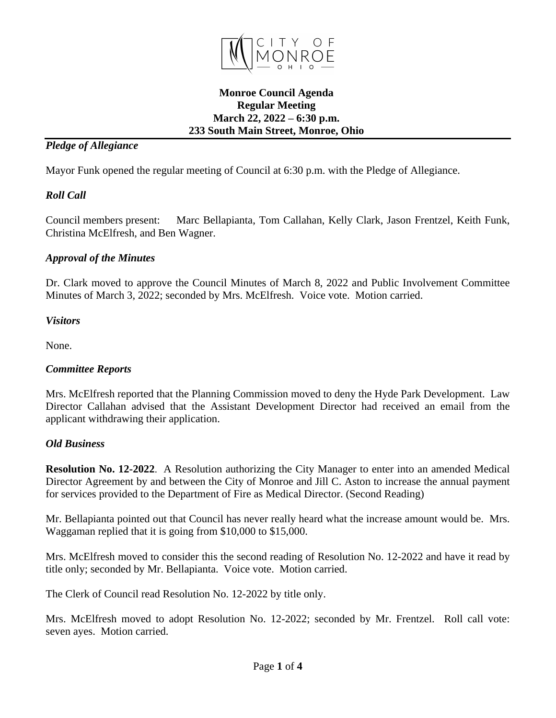

### **Monroe Council Agenda Regular Meeting March 22, 2022 – 6:30 p.m. 233 South Main Street, Monroe, Ohio**

## *Pledge of Allegiance*

Mayor Funk opened the regular meeting of Council at 6:30 p.m. with the Pledge of Allegiance.

# *Roll Call*

Council members present: Marc Bellapianta, Tom Callahan, Kelly Clark, Jason Frentzel, Keith Funk, Christina McElfresh, and Ben Wagner.

# *Approval of the Minutes*

Dr. Clark moved to approve the Council Minutes of March 8, 2022 and Public Involvement Committee Minutes of March 3, 2022; seconded by Mrs. McElfresh. Voice vote. Motion carried.

## *Visitors*

None.

# *Committee Reports*

Mrs. McElfresh reported that the Planning Commission moved to deny the Hyde Park Development. Law Director Callahan advised that the Assistant Development Director had received an email from the applicant withdrawing their application.

## *Old Business*

**Resolution No. 12-2022**. A Resolution authorizing the City Manager to enter into an amended Medical Director Agreement by and between the City of Monroe and Jill C. Aston to increase the annual payment for services provided to the Department of Fire as Medical Director. (Second Reading)

Mr. Bellapianta pointed out that Council has never really heard what the increase amount would be. Mrs. Waggaman replied that it is going from \$10,000 to \$15,000.

Mrs. McElfresh moved to consider this the second reading of Resolution No. 12-2022 and have it read by title only; seconded by Mr. Bellapianta. Voice vote. Motion carried.

The Clerk of Council read Resolution No. 12-2022 by title only.

Mrs. McElfresh moved to adopt Resolution No. 12-2022; seconded by Mr. Frentzel. Roll call vote: seven ayes. Motion carried.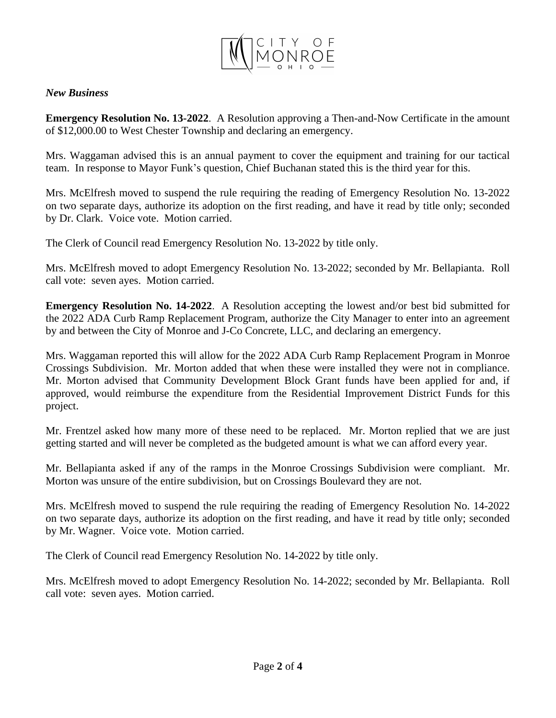

#### *New Business*

**Emergency Resolution No. 13-2022**. A Resolution approving a Then-and-Now Certificate in the amount of \$12,000.00 to West Chester Township and declaring an emergency.

Mrs. Waggaman advised this is an annual payment to cover the equipment and training for our tactical team. In response to Mayor Funk's question, Chief Buchanan stated this is the third year for this.

Mrs. McElfresh moved to suspend the rule requiring the reading of Emergency Resolution No. 13-2022 on two separate days, authorize its adoption on the first reading, and have it read by title only; seconded by Dr. Clark. Voice vote. Motion carried.

The Clerk of Council read Emergency Resolution No. 13-2022 by title only.

Mrs. McElfresh moved to adopt Emergency Resolution No. 13-2022; seconded by Mr. Bellapianta. Roll call vote: seven ayes. Motion carried.

**Emergency Resolution No. 14-2022**. A Resolution accepting the lowest and/or best bid submitted for the 2022 ADA Curb Ramp Replacement Program, authorize the City Manager to enter into an agreement by and between the City of Monroe and J-Co Concrete, LLC, and declaring an emergency.

Mrs. Waggaman reported this will allow for the 2022 ADA Curb Ramp Replacement Program in Monroe Crossings Subdivision. Mr. Morton added that when these were installed they were not in compliance. Mr. Morton advised that Community Development Block Grant funds have been applied for and, if approved, would reimburse the expenditure from the Residential Improvement District Funds for this project.

Mr. Frentzel asked how many more of these need to be replaced. Mr. Morton replied that we are just getting started and will never be completed as the budgeted amount is what we can afford every year.

Mr. Bellapianta asked if any of the ramps in the Monroe Crossings Subdivision were compliant. Mr. Morton was unsure of the entire subdivision, but on Crossings Boulevard they are not.

Mrs. McElfresh moved to suspend the rule requiring the reading of Emergency Resolution No. 14-2022 on two separate days, authorize its adoption on the first reading, and have it read by title only; seconded by Mr. Wagner. Voice vote. Motion carried.

The Clerk of Council read Emergency Resolution No. 14-2022 by title only.

Mrs. McElfresh moved to adopt Emergency Resolution No. 14-2022; seconded by Mr. Bellapianta. Roll call vote: seven ayes. Motion carried.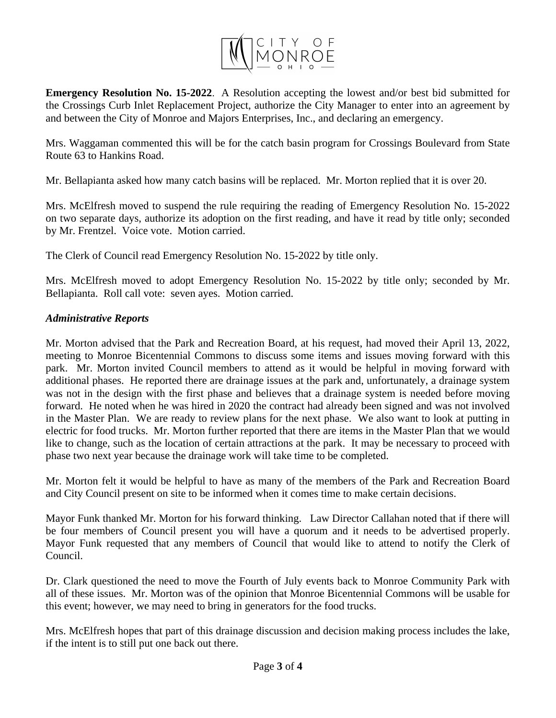

**Emergency Resolution No. 15-2022**. A Resolution accepting the lowest and/or best bid submitted for the Crossings Curb Inlet Replacement Project, authorize the City Manager to enter into an agreement by and between the City of Monroe and Majors Enterprises, Inc., and declaring an emergency.

Mrs. Waggaman commented this will be for the catch basin program for Crossings Boulevard from State Route 63 to Hankins Road.

Mr. Bellapianta asked how many catch basins will be replaced. Mr. Morton replied that it is over 20.

Mrs. McElfresh moved to suspend the rule requiring the reading of Emergency Resolution No. 15-2022 on two separate days, authorize its adoption on the first reading, and have it read by title only; seconded by Mr. Frentzel. Voice vote. Motion carried.

The Clerk of Council read Emergency Resolution No. 15-2022 by title only.

Mrs. McElfresh moved to adopt Emergency Resolution No. 15-2022 by title only; seconded by Mr. Bellapianta. Roll call vote: seven ayes. Motion carried.

# *Administrative Reports*

Mr. Morton advised that the Park and Recreation Board, at his request, had moved their April 13, 2022, meeting to Monroe Bicentennial Commons to discuss some items and issues moving forward with this park. Mr. Morton invited Council members to attend as it would be helpful in moving forward with additional phases. He reported there are drainage issues at the park and, unfortunately, a drainage system was not in the design with the first phase and believes that a drainage system is needed before moving forward. He noted when he was hired in 2020 the contract had already been signed and was not involved in the Master Plan. We are ready to review plans for the next phase. We also want to look at putting in electric for food trucks. Mr. Morton further reported that there are items in the Master Plan that we would like to change, such as the location of certain attractions at the park. It may be necessary to proceed with phase two next year because the drainage work will take time to be completed.

Mr. Morton felt it would be helpful to have as many of the members of the Park and Recreation Board and City Council present on site to be informed when it comes time to make certain decisions.

Mayor Funk thanked Mr. Morton for his forward thinking. Law Director Callahan noted that if there will be four members of Council present you will have a quorum and it needs to be advertised properly. Mayor Funk requested that any members of Council that would like to attend to notify the Clerk of Council.

Dr. Clark questioned the need to move the Fourth of July events back to Monroe Community Park with all of these issues. Mr. Morton was of the opinion that Monroe Bicentennial Commons will be usable for this event; however, we may need to bring in generators for the food trucks.

Mrs. McElfresh hopes that part of this drainage discussion and decision making process includes the lake, if the intent is to still put one back out there.